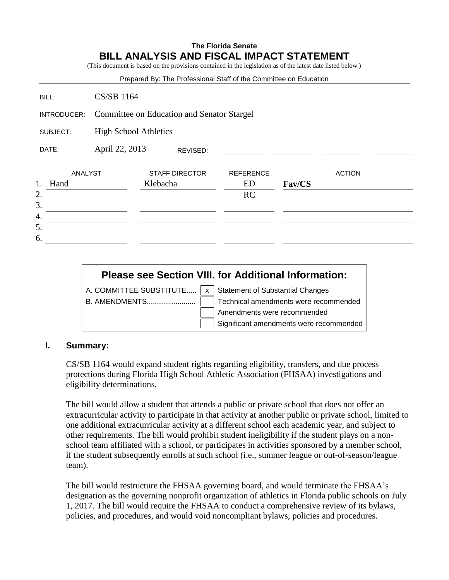# **The Florida Senate BILL ANALYSIS AND FISCAL IMPACT STATEMENT**

(This document is based on the provisions contained in the legislation as of the latest date listed below.)

|                                                      |                                            | Prepared By: The Professional Staff of the Committee on Education |                                     |        |               |
|------------------------------------------------------|--------------------------------------------|-------------------------------------------------------------------|-------------------------------------|--------|---------------|
| BILL:                                                | <b>CS/SB 1164</b>                          |                                                                   |                                     |        |               |
| INTRODUCER:                                          | Committee on Education and Senator Stargel |                                                                   |                                     |        |               |
| SUBJECT:                                             | <b>High School Athletics</b>               |                                                                   |                                     |        |               |
| DATE:                                                | April 22, 2013<br>REVISED:                 |                                                                   |                                     |        |               |
| <b>ANALYST</b><br>Hand<br>2.<br>3.<br>4.<br>5.<br>6. |                                            | <b>STAFF DIRECTOR</b><br>Klebacha                                 | <b>REFERENCE</b><br>ED<br><b>RC</b> | Fav/CS | <b>ACTION</b> |

# **Please see Section VIII. for Additional Information:**

A. COMMITTEE SUBSTITUTE.....  $\boxed{x}$  Statement of Substantial Changes B. AMENDMENTS........................ Technical amendments were recommended Amendments were recommended Significant amendments were recommended

# **I. Summary:**

CS/SB 1164 would expand student rights regarding eligibility, transfers, and due process protections during Florida High School Athletic Association (FHSAA) investigations and eligibility determinations.

The bill would allow a student that attends a public or private school that does not offer an extracurricular activity to participate in that activity at another public or private school, limited to one additional extracurricular activity at a different school each academic year, and subject to other requirements. The bill would prohibit student ineligibility if the student plays on a nonschool team affiliated with a school, or participates in activities sponsored by a member school, if the student subsequently enrolls at such school (i.e., summer league or out-of-season/league team).

The bill would restructure the FHSAA governing board, and would terminate the FHSAA's designation as the governing nonprofit organization of athletics in Florida public schools on July 1, 2017. The bill would require the FHSAA to conduct a comprehensive review of its bylaws, policies, and procedures, and would void noncompliant bylaws, policies and procedures.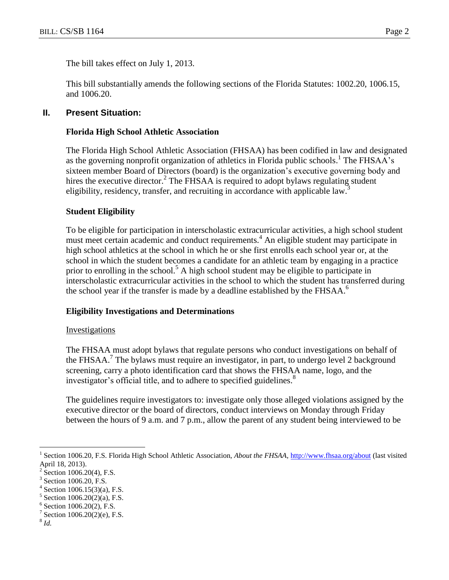The bill takes effect on July 1, 2013.

This bill substantially amends the following sections of the Florida Statutes: 1002.20, 1006.15, and 1006.20.

#### **II. Present Situation:**

#### **Florida High School Athletic Association**

The Florida High School Athletic Association (FHSAA) has been codified in law and designated as the governing nonprofit organization of athletics in Florida public schools.<sup>1</sup> The FHSAA's sixteen member Board of Directors (board) is the organization's executive governing body and hires the executive director.<sup>2</sup> The FHSAA is required to adopt bylaws regulating student eligibility, residency, transfer, and recruiting in accordance with applicable law.<sup>3</sup>

#### **Student Eligibility**

To be eligible for participation in interscholastic extracurricular activities, a high school student must meet certain academic and conduct requirements.<sup>4</sup> An eligible student may participate in high school athletics at the school in which he or she first enrolls each school year or, at the school in which the student becomes a candidate for an athletic team by engaging in a practice prior to enrolling in the school.<sup>5</sup> A high school student may be eligible to participate in interscholastic extracurricular activities in the school to which the student has transferred during the school year if the transfer is made by a deadline established by the FHSAA.<sup>6</sup>

#### **Eligibility Investigations and Determinations**

#### **Investigations**

The FHSAA must adopt bylaws that regulate persons who conduct investigations on behalf of the FHSAA.<sup>7</sup> The bylaws must require an investigator, in part, to undergo level 2 background screening, carry a photo identification card that shows the FHSAA name, logo, and the investigator's official title, and to adhere to specified guidelines.<sup>8</sup>

The guidelines require investigators to: investigate only those alleged violations assigned by the executive director or the board of directors, conduct interviews on Monday through Friday between the hours of 9 a.m. and 7 p.m., allow the parent of any student being interviewed to be

8 *Id.*

 $\overline{a}$ 

<sup>1</sup> Section 1006.20, F.S. Florida High School Athletic Association, *About the FHSAA,* <http://www.fhsaa.org/about> (last visited April 18, 2013).

<sup>2</sup> Section 1006.20(4), F.S.

<sup>3</sup> Section 1006.20, F.S.

<sup>4</sup> Section 1006.15(3)(a), F.S.

<sup>5</sup> Section 1006.20(2)(a), F.S.

<sup>6</sup> Section 1006.20(2), F.S.

<sup>7</sup> Section 1006.20(2)(e), F.S.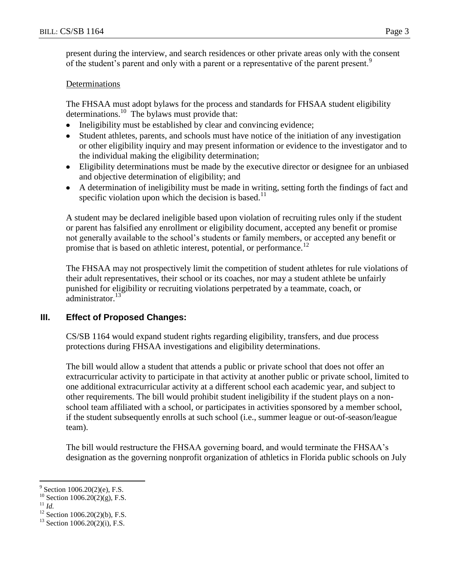present during the interview, and search residences or other private areas only with the consent of the student's parent and only with a parent or a representative of the parent present.<sup>9</sup>

# **Determinations**

The FHSAA must adopt bylaws for the process and standards for FHSAA student eligibility determinations. <sup>10</sup> The bylaws must provide that:

- Ineligibility must be established by clear and convincing evidence;  $\bullet$
- Student athletes, parents, and schools must have notice of the initiation of any investigation or other eligibility inquiry and may present information or evidence to the investigator and to the individual making the eligibility determination;
- Eligibility determinations must be made by the executive director or designee for an unbiased and objective determination of eligibility; and
- A determination of ineligibility must be made in writing, setting forth the findings of fact and specific violation upon which the decision is based.<sup>11</sup>

A student may be declared ineligible based upon violation of recruiting rules only if the student or parent has falsified any enrollment or eligibility document, accepted any benefit or promise not generally available to the school's students or family members, or accepted any benefit or promise that is based on athletic interest, potential, or performance.<sup>12</sup>

The FHSAA may not prospectively limit the competition of student athletes for rule violations of their adult representatives, their school or its coaches, nor may a student athlete be unfairly punished for eligibility or recruiting violations perpetrated by a teammate, coach, or  $administrator.<sup>13</sup>$ 

# **III. Effect of Proposed Changes:**

CS/SB 1164 would expand student rights regarding eligibility, transfers, and due process protections during FHSAA investigations and eligibility determinations.

The bill would allow a student that attends a public or private school that does not offer an extracurricular activity to participate in that activity at another public or private school, limited to one additional extracurricular activity at a different school each academic year, and subject to other requirements. The bill would prohibit student ineligibility if the student plays on a nonschool team affiliated with a school, or participates in activities sponsored by a member school, if the student subsequently enrolls at such school (i.e., summer league or out-of-season/league team).

The bill would restructure the FHSAA governing board, and would terminate the FHSAA's designation as the governing nonprofit organization of athletics in Florida public schools on July

 $9^9$  Section 1006.20(2)(e), F.S.

 $10$  Section 1006.20(2)(g), F.S.

<sup>11</sup> *Id.*

 $12$  Section 1006.20(2)(b), F.S.

 $13$  Section 1006.20(2)(i), F.S.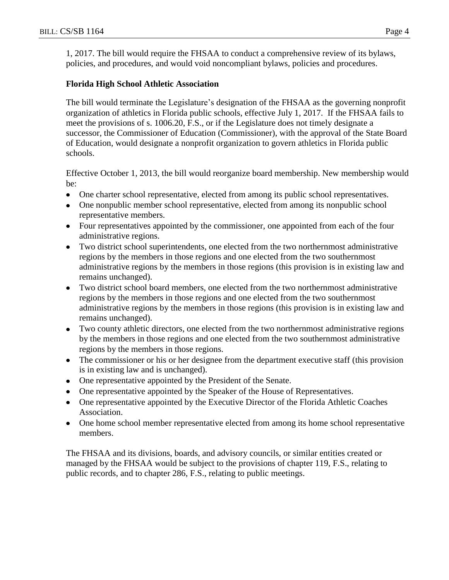1, 2017. The bill would require the FHSAA to conduct a comprehensive review of its bylaws, policies, and procedures, and would void noncompliant bylaws, policies and procedures.

## **Florida High School Athletic Association**

The bill would terminate the Legislature's designation of the FHSAA as the governing nonprofit organization of athletics in Florida public schools, effective July 1, 2017. If the FHSAA fails to meet the provisions of s. 1006.20, F.S., or if the Legislature does not timely designate a successor, the Commissioner of Education (Commissioner), with the approval of the State Board of Education, would designate a nonprofit organization to govern athletics in Florida public schools.

Effective October 1, 2013, the bill would reorganize board membership. New membership would be:

- One charter school representative, elected from among its public school representatives.
- One nonpublic member school representative, elected from among its nonpublic school representative members.
- Four representatives appointed by the commissioner, one appointed from each of the four administrative regions.
- Two district school superintendents, one elected from the two northernmost administrative regions by the members in those regions and one elected from the two southernmost administrative regions by the members in those regions (this provision is in existing law and remains unchanged).
- Two district school board members, one elected from the two northernmost administrative regions by the members in those regions and one elected from the two southernmost administrative regions by the members in those regions (this provision is in existing law and remains unchanged).
- Two county athletic directors, one elected from the two northernmost administrative regions by the members in those regions and one elected from the two southernmost administrative regions by the members in those regions.
- The commissioner or his or her designee from the department executive staff (this provision is in existing law and is unchanged).
- One representative appointed by the President of the Senate.
- One representative appointed by the Speaker of the House of Representatives.
- One representative appointed by the Executive Director of the Florida Athletic Coaches Association.
- One home school member representative elected from among its home school representative members.

The FHSAA and its divisions, boards, and advisory councils, or similar entities created or managed by the FHSAA would be subject to the provisions of chapter 119, F.S., relating to public records, and to chapter 286, F.S., relating to public meetings.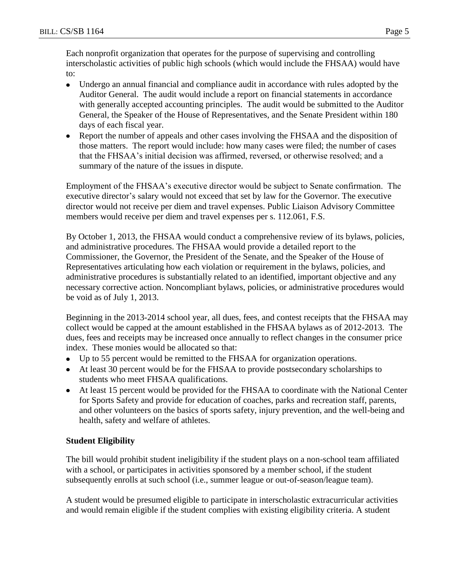Each nonprofit organization that operates for the purpose of supervising and controlling interscholastic activities of public high schools (which would include the FHSAA) would have to:

- Undergo an annual financial and compliance audit in accordance with rules adopted by the  $\bullet$ Auditor General. The audit would include a report on financial statements in accordance with generally accepted accounting principles. The audit would be submitted to the Auditor General, the Speaker of the House of Representatives, and the Senate President within 180 days of each fiscal year.
- Report the number of appeals and other cases involving the FHSAA and the disposition of those matters. The report would include: how many cases were filed; the number of cases that the FHSAA's initial decision was affirmed, reversed, or otherwise resolved; and a summary of the nature of the issues in dispute.

Employment of the FHSAA's executive director would be subject to Senate confirmation. The executive director's salary would not exceed that set by law for the Governor. The executive director would not receive per diem and travel expenses. Public Liaison Advisory Committee members would receive per diem and travel expenses per s. 112.061, F.S.

By October 1, 2013, the FHSAA would conduct a comprehensive review of its bylaws, policies, and administrative procedures. The FHSAA would provide a detailed report to the Commissioner, the Governor, the President of the Senate, and the Speaker of the House of Representatives articulating how each violation or requirement in the bylaws, policies, and administrative procedures is substantially related to an identified, important objective and any necessary corrective action. Noncompliant bylaws, policies, or administrative procedures would be void as of July 1, 2013.

Beginning in the 2013-2014 school year, all dues, fees, and contest receipts that the FHSAA may collect would be capped at the amount established in the FHSAA bylaws as of 2012-2013. The dues, fees and receipts may be increased once annually to reflect changes in the consumer price index. These monies would be allocated so that:

- Up to 55 percent would be remitted to the FHSAA for organization operations.
- At least 30 percent would be for the FHSAA to provide postsecondary scholarships to students who meet FHSAA qualifications.
- At least 15 percent would be provided for the FHSAA to coordinate with the National Center for Sports Safety and provide for education of coaches, parks and recreation staff, parents, and other volunteers on the basics of sports safety, injury prevention, and the well-being and health, safety and welfare of athletes.

# **Student Eligibility**

The bill would prohibit student ineligibility if the student plays on a non-school team affiliated with a school, or participates in activities sponsored by a member school, if the student subsequently enrolls at such school (i.e., summer league or out-of-season/league team).

A student would be presumed eligible to participate in interscholastic extracurricular activities and would remain eligible if the student complies with existing eligibility criteria. A student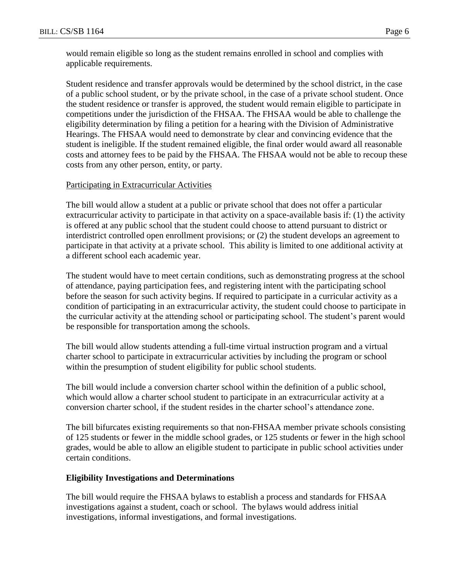would remain eligible so long as the student remains enrolled in school and complies with applicable requirements.

Student residence and transfer approvals would be determined by the school district, in the case of a public school student, or by the private school, in the case of a private school student. Once the student residence or transfer is approved, the student would remain eligible to participate in competitions under the jurisdiction of the FHSAA. The FHSAA would be able to challenge the eligibility determination by filing a petition for a hearing with the Division of Administrative Hearings. The FHSAA would need to demonstrate by clear and convincing evidence that the student is ineligible. If the student remained eligible, the final order would award all reasonable costs and attorney fees to be paid by the FHSAA. The FHSAA would not be able to recoup these costs from any other person, entity, or party.

# Participating in Extracurricular Activities

The bill would allow a student at a public or private school that does not offer a particular extracurricular activity to participate in that activity on a space-available basis if: (1) the activity is offered at any public school that the student could choose to attend pursuant to district or interdistrict controlled open enrollment provisions; or (2) the student develops an agreement to participate in that activity at a private school. This ability is limited to one additional activity at a different school each academic year.

The student would have to meet certain conditions, such as demonstrating progress at the school of attendance, paying participation fees, and registering intent with the participating school before the season for such activity begins. If required to participate in a curricular activity as a condition of participating in an extracurricular activity, the student could choose to participate in the curricular activity at the attending school or participating school. The student's parent would be responsible for transportation among the schools.

The bill would allow students attending a full-time virtual instruction program and a virtual charter school to participate in extracurricular activities by including the program or school within the presumption of student eligibility for public school students.

The bill would include a conversion charter school within the definition of a public school, which would allow a charter school student to participate in an extracurricular activity at a conversion charter school, if the student resides in the charter school's attendance zone.

The bill bifurcates existing requirements so that non-FHSAA member private schools consisting of 125 students or fewer in the middle school grades, or 125 students or fewer in the high school grades, would be able to allow an eligible student to participate in public school activities under certain conditions.

# **Eligibility Investigations and Determinations**

The bill would require the FHSAA bylaws to establish a process and standards for FHSAA investigations against a student, coach or school. The bylaws would address initial investigations, informal investigations, and formal investigations.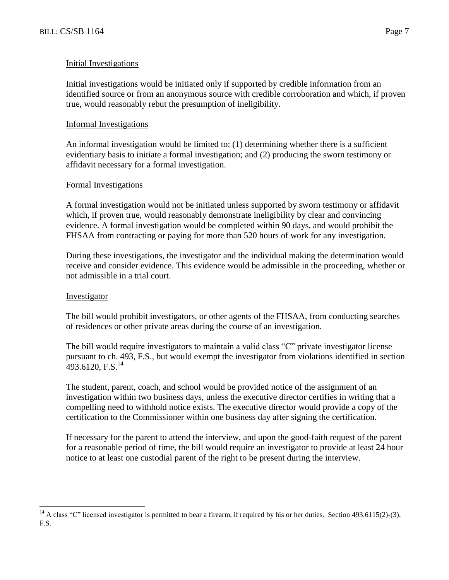#### Initial Investigations

Initial investigations would be initiated only if supported by credible information from an identified source or from an anonymous source with credible corroboration and which, if proven true, would reasonably rebut the presumption of ineligibility.

#### Informal Investigations

An informal investigation would be limited to: (1) determining whether there is a sufficient evidentiary basis to initiate a formal investigation; and (2) producing the sworn testimony or affidavit necessary for a formal investigation.

#### Formal Investigations

A formal investigation would not be initiated unless supported by sworn testimony or affidavit which, if proven true, would reasonably demonstrate ineligibility by clear and convincing evidence. A formal investigation would be completed within 90 days, and would prohibit the FHSAA from contracting or paying for more than 520 hours of work for any investigation.

During these investigations, the investigator and the individual making the determination would receive and consider evidence. This evidence would be admissible in the proceeding, whether or not admissible in a trial court.

#### Investigator

 $\overline{a}$ 

The bill would prohibit investigators, or other agents of the FHSAA, from conducting searches of residences or other private areas during the course of an investigation.

The bill would require investigators to maintain a valid class "C" private investigator license pursuant to ch. 493, F.S., but would exempt the investigator from violations identified in section 493.6120, F.S.<sup>14</sup>

The student, parent, coach, and school would be provided notice of the assignment of an investigation within two business days, unless the executive director certifies in writing that a compelling need to withhold notice exists. The executive director would provide a copy of the certification to the Commissioner within one business day after signing the certification.

If necessary for the parent to attend the interview, and upon the good-faith request of the parent for a reasonable period of time, the bill would require an investigator to provide at least 24 hour notice to at least one custodial parent of the right to be present during the interview.

<sup>&</sup>lt;sup>14</sup> A class "C" licensed investigator is permitted to bear a firearm, if required by his or her duties. Section 493.6115(2)-(3), F.S.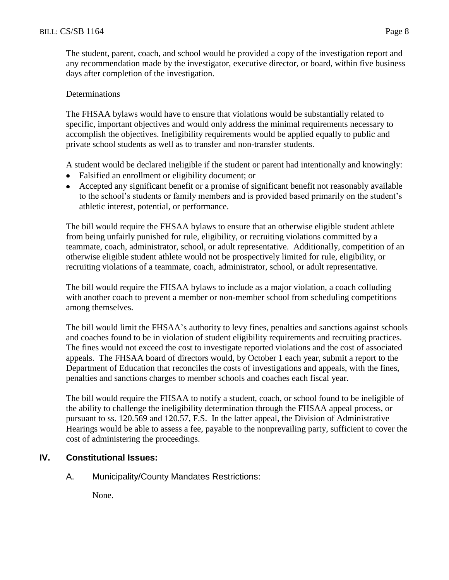The student, parent, coach, and school would be provided a copy of the investigation report and any recommendation made by the investigator, executive director, or board, within five business days after completion of the investigation.

# Determinations

The FHSAA bylaws would have to ensure that violations would be substantially related to specific, important objectives and would only address the minimal requirements necessary to accomplish the objectives. Ineligibility requirements would be applied equally to public and private school students as well as to transfer and non-transfer students.

A student would be declared ineligible if the student or parent had intentionally and knowingly:

- Falsified an enrollment or eligibility document; or
- Accepted any significant benefit or a promise of significant benefit not reasonably available to the school's students or family members and is provided based primarily on the student's athletic interest, potential, or performance.

The bill would require the FHSAA bylaws to ensure that an otherwise eligible student athlete from being unfairly punished for rule, eligibility, or recruiting violations committed by a teammate, coach, administrator, school, or adult representative. Additionally, competition of an otherwise eligible student athlete would not be prospectively limited for rule, eligibility, or recruiting violations of a teammate, coach, administrator, school, or adult representative.

The bill would require the FHSAA bylaws to include as a major violation, a coach colluding with another coach to prevent a member or non-member school from scheduling competitions among themselves.

The bill would limit the FHSAA's authority to levy fines, penalties and sanctions against schools and coaches found to be in violation of student eligibility requirements and recruiting practices. The fines would not exceed the cost to investigate reported violations and the cost of associated appeals. The FHSAA board of directors would, by October 1 each year, submit a report to the Department of Education that reconciles the costs of investigations and appeals, with the fines, penalties and sanctions charges to member schools and coaches each fiscal year.

The bill would require the FHSAA to notify a student, coach, or school found to be ineligible of the ability to challenge the ineligibility determination through the FHSAA appeal process, or pursuant to ss. 120.569 and 120.57, F.S. In the latter appeal, the Division of Administrative Hearings would be able to assess a fee, payable to the nonprevailing party, sufficient to cover the cost of administering the proceedings.

# **IV. Constitutional Issues:**

A. Municipality/County Mandates Restrictions:

None.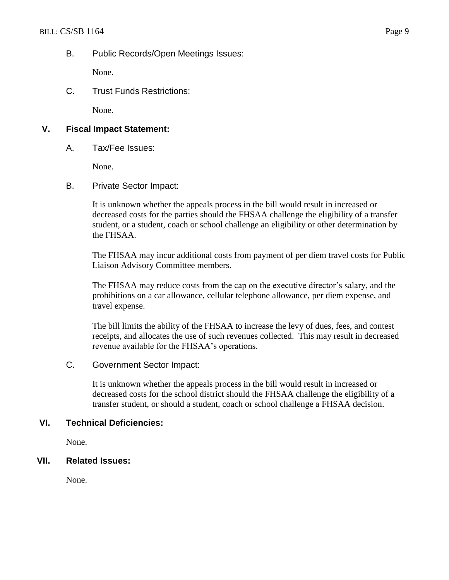### B. Public Records/Open Meetings Issues:

None.

C. Trust Funds Restrictions:

None.

# **V. Fiscal Impact Statement:**

A. Tax/Fee Issues:

None.

B. Private Sector Impact:

It is unknown whether the appeals process in the bill would result in increased or decreased costs for the parties should the FHSAA challenge the eligibility of a transfer student, or a student, coach or school challenge an eligibility or other determination by the FHSAA.

The FHSAA may incur additional costs from payment of per diem travel costs for Public Liaison Advisory Committee members.

The FHSAA may reduce costs from the cap on the executive director's salary, and the prohibitions on a car allowance, cellular telephone allowance, per diem expense, and travel expense.

The bill limits the ability of the FHSAA to increase the levy of dues, fees, and contest receipts, and allocates the use of such revenues collected. This may result in decreased revenue available for the FHSAA's operations.

#### C. Government Sector Impact:

It is unknown whether the appeals process in the bill would result in increased or decreased costs for the school district should the FHSAA challenge the eligibility of a transfer student, or should a student, coach or school challenge a FHSAA decision.

# **VI. Technical Deficiencies:**

None.

#### **VII. Related Issues:**

None.